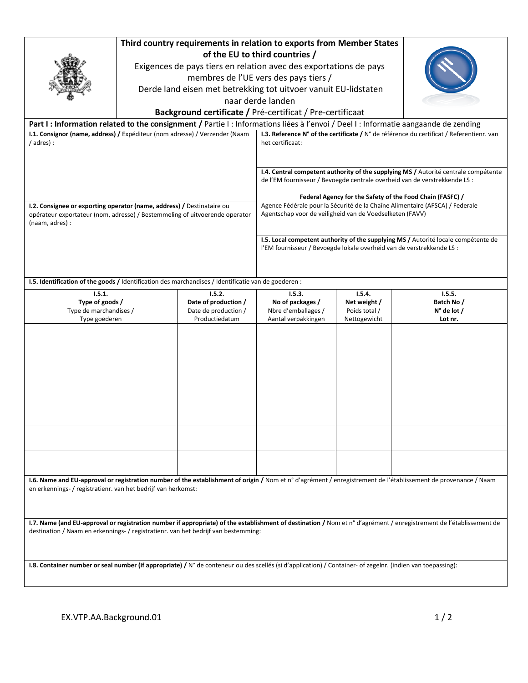| Third country requirements in relation to exports from Member States<br>of the EU to third countries /<br>Exigences de pays tiers en relation avec des exportations de pays<br>membres de l'UE vers des pays tiers /<br>Derde land eisen met betrekking tot uitvoer vanuit EU-lidstaten<br>naar derde landen<br>Background certificate / Pré-certificat / Pre-certificaat |  |                                                                          |                                                                                                                                                                                                                                                                                                                                                                            |                                                         |                                                         |
|---------------------------------------------------------------------------------------------------------------------------------------------------------------------------------------------------------------------------------------------------------------------------------------------------------------------------------------------------------------------------|--|--------------------------------------------------------------------------|----------------------------------------------------------------------------------------------------------------------------------------------------------------------------------------------------------------------------------------------------------------------------------------------------------------------------------------------------------------------------|---------------------------------------------------------|---------------------------------------------------------|
| Part I: Information related to the consignment / Partie I: Informations liées à l'envoi / Deel I: Informatie aangaande de zending                                                                                                                                                                                                                                         |  |                                                                          |                                                                                                                                                                                                                                                                                                                                                                            |                                                         |                                                         |
| I.1. Consignor (name, address) / Expéditeur (nom adresse) / Verzender (Naam<br>/ adres) :                                                                                                                                                                                                                                                                                 |  |                                                                          | I.3. Reference N° of the certificate / N° de référence du certificat / Referentienr. van<br>het certificaat:                                                                                                                                                                                                                                                               |                                                         |                                                         |
| I.2. Consignee or exporting operator (name, address) / Destinataire ou<br>opérateur exportateur (nom, adresse) / Bestemmeling of uitvoerende operator<br>(naam, adres) :                                                                                                                                                                                                  |  |                                                                          | I.4. Central competent authority of the supplying MS / Autorité centrale compétente<br>de l'EM fournisseur / Bevoegde centrale overheid van de verstrekkende LS :<br>Federal Agency for the Safety of the Food Chain (FASFC) /<br>Agence Fédérale pour la Sécurité de la Chaîne Alimentaire (AFSCA) / Federale<br>Agentschap voor de veiligheid van de Voedselketen (FAVV) |                                                         |                                                         |
|                                                                                                                                                                                                                                                                                                                                                                           |  |                                                                          | I.5. Local competent authority of the supplying MS / Autorité locale compétente de<br>l'EM fournisseur / Bevoegde lokale overheid van de verstrekkende LS :                                                                                                                                                                                                                |                                                         |                                                         |
| I.5. Identification of the goods / Identification des marchandises / Identificatie van de goederen :                                                                                                                                                                                                                                                                      |  |                                                                          |                                                                                                                                                                                                                                                                                                                                                                            |                                                         |                                                         |
| 1.5.1.<br>Type of goods /<br>Type de marchandises /<br>Type goederen                                                                                                                                                                                                                                                                                                      |  | 1.5.2.<br>Date of production /<br>Date de production /<br>Productiedatum | 1.5.3.<br>No of packages /<br>Nbre d'emballages /<br>Aantal verpakkingen                                                                                                                                                                                                                                                                                                   | 1.5.4.<br>Net weight /<br>Poids total /<br>Nettogewicht | 1.5.5.<br>Batch No /<br>$N^{\circ}$ de lot /<br>Lot nr. |
|                                                                                                                                                                                                                                                                                                                                                                           |  |                                                                          |                                                                                                                                                                                                                                                                                                                                                                            |                                                         |                                                         |
|                                                                                                                                                                                                                                                                                                                                                                           |  |                                                                          |                                                                                                                                                                                                                                                                                                                                                                            |                                                         |                                                         |
|                                                                                                                                                                                                                                                                                                                                                                           |  |                                                                          |                                                                                                                                                                                                                                                                                                                                                                            |                                                         |                                                         |
|                                                                                                                                                                                                                                                                                                                                                                           |  |                                                                          |                                                                                                                                                                                                                                                                                                                                                                            |                                                         |                                                         |
|                                                                                                                                                                                                                                                                                                                                                                           |  |                                                                          |                                                                                                                                                                                                                                                                                                                                                                            |                                                         |                                                         |
| I.6. Name and EU-approval or registration number of the establishment of origin / Nom et n° d'agrément / enregistrement de l'établissement de provenance / Naam<br>en erkennings- / registratienr. van het bedrijf van herkomst:                                                                                                                                          |  |                                                                          |                                                                                                                                                                                                                                                                                                                                                                            |                                                         |                                                         |
| I.7. Name (and EU-approval or registration number if appropriate) of the establishment of destination / Nom et n° d'agrément / enregistrement de l'établissement de<br>destination / Naam en erkennings- / registratienr. van het bedrijf van bestemming:                                                                                                                 |  |                                                                          |                                                                                                                                                                                                                                                                                                                                                                            |                                                         |                                                         |
| I.8. Container number or seal number (if appropriate) / N° de conteneur ou des scellés (si d'application) / Container- of zegelnr. (indien van toepassing):                                                                                                                                                                                                               |  |                                                                          |                                                                                                                                                                                                                                                                                                                                                                            |                                                         |                                                         |